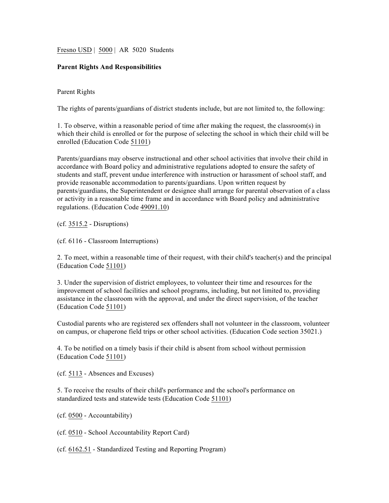Fresno USD | 5000 | AR 5020 Students

## **Parent Rights And Responsibilities**

## Parent Rights

The rights of parents/guardians of district students include, but are not limited to, the following:

1. To observe, within a reasonable period of time after making the request, the classroom(s) in which their child is enrolled or for the purpose of selecting the school in which their child will be enrolled (Education Code 51101)

Parents/guardians may observe instructional and other school activities that involve their child in accordance with Board policy and administrative regulations adopted to ensure the safety of students and staff, prevent undue interference with instruction or harassment of school staff, and provide reasonable accommodation to parents/guardians. Upon written request by parents/guardians, the Superintendent or designee shall arrange for parental observation of a class or activity in a reasonable time frame and in accordance with Board policy and administrative regulations. (Education Code 49091.10)

(cf. 3515.2 - Disruptions)

(cf. 6116 - Classroom Interruptions)

2. To meet, within a reasonable time of their request, with their child's teacher(s) and the principal (Education Code 51101)

3. Under the supervision of district employees, to volunteer their time and resources for the improvement of school facilities and school programs, including, but not limited to, providing assistance in the classroom with the approval, and under the direct supervision, of the teacher (Education Code 51101)

Custodial parents who are registered sex offenders shall not volunteer in the classroom, volunteer on campus, or chaperone field trips or other school activities. (Education Code section 35021.)

4. To be notified on a timely basis if their child is absent from school without permission (Education Code 51101)

(cf. 5113 - Absences and Excuses)

5. To receive the results of their child's performance and the school's performance on standardized tests and statewide tests (Education Code 51101)

(cf. 0500 - Accountability)

(cf. 0510 - School Accountability Report Card)

(cf. 6162.51 - Standardized Testing and Reporting Program)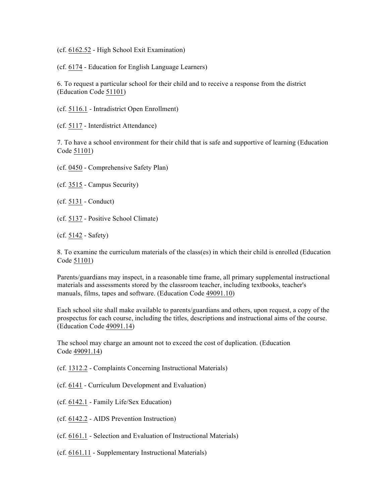(cf. 6162.52 - High School Exit Examination)

(cf. 6174 - Education for English Language Learners)

6. To request a particular school for their child and to receive a response from the district (Education Code 51101)

- (cf. 5116.1 Intradistrict Open Enrollment)
- (cf. 5117 Interdistrict Attendance)

7. To have a school environment for their child that is safe and supportive of learning (Education Code 51101)

(cf. 0450 - Comprehensive Safety Plan)

- (cf. 3515 Campus Security)
- (cf. 5131 Conduct)
- (cf. 5137 Positive School Climate)
- (cf. 5142 Safety)

8. To examine the curriculum materials of the class(es) in which their child is enrolled (Education Code 51101)

Parents/guardians may inspect, in a reasonable time frame, all primary supplemental instructional materials and assessments stored by the classroom teacher, including textbooks, teacher's manuals, films, tapes and software. (Education Code 49091.10)

Each school site shall make available to parents/guardians and others, upon request, a copy of the prospectus for each course, including the titles, descriptions and instructional aims of the course. (Education Code 49091.14)

The school may charge an amount not to exceed the cost of duplication. (Education Code 49091.14)

(cf. 1312.2 - Complaints Concerning Instructional Materials)

- (cf. 6141 Curriculum Development and Evaluation)
- (cf. 6142.1 Family Life/Sex Education)
- (cf. 6142.2 AIDS Prevention Instruction)
- (cf. 6161.1 Selection and Evaluation of Instructional Materials)
- (cf. 6161.11 Supplementary Instructional Materials)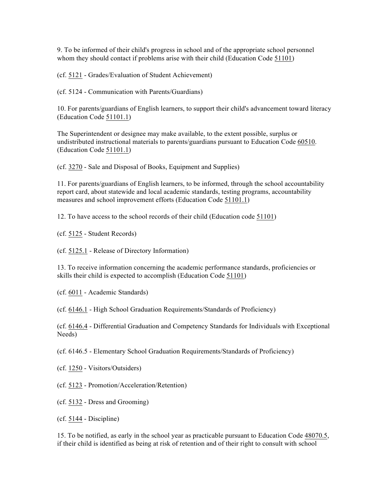9. To be informed of their child's progress in school and of the appropriate school personnel whom they should contact if problems arise with their child (Education Code 51101)

(cf. 5121 - Grades/Evaluation of Student Achievement)

(cf. 5124 - Communication with Parents/Guardians)

10. For parents/guardians of English learners, to support their child's advancement toward literacy (Education Code 51101.1)

The Superintendent or designee may make available, to the extent possible, surplus or undistributed instructional materials to parents/guardians pursuant to Education Code 60510. (Education Code 51101.1)

(cf. 3270 - Sale and Disposal of Books, Equipment and Supplies)

11. For parents/guardians of English learners, to be informed, through the school accountability report card, about statewide and local academic standards, testing programs, accountability measures and school improvement efforts (Education Code 51101.1)

12. To have access to the school records of their child (Education code 51101)

(cf. 5125 - Student Records)

(cf. 5125.1 - Release of Directory Information)

13. To receive information concerning the academic performance standards, proficiencies or skills their child is expected to accomplish (Education Code 51101)

(cf. 6011 - Academic Standards)

(cf. 6146.1 - High School Graduation Requirements/Standards of Proficiency)

(cf. 6146.4 - Differential Graduation and Competency Standards for Individuals with Exceptional Needs)

(cf. 6146.5 - Elementary School Graduation Requirements/Standards of Proficiency)

(cf. 1250 - Visitors/Outsiders)

(cf. 5123 - Promotion/Acceleration/Retention)

(cf. 5132 - Dress and Grooming)

(cf. 5144 - Discipline)

15. To be notified, as early in the school year as practicable pursuant to Education Code 48070.5, if their child is identified as being at risk of retention and of their right to consult with school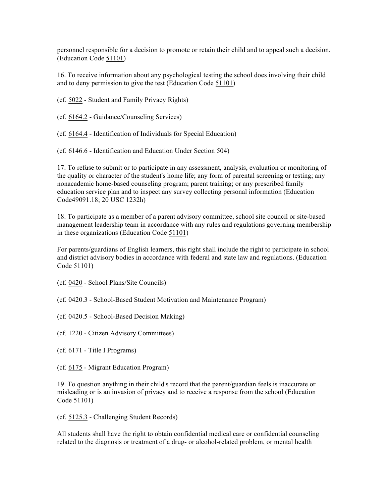personnel responsible for a decision to promote or retain their child and to appeal such a decision. (Education Code 51101)

16. To receive information about any psychological testing the school does involving their child and to deny permission to give the test (Education Code 51101)

(cf. 5022 - Student and Family Privacy Rights)

(cf. 6164.2 - Guidance/Counseling Services)

(cf. 6164.4 - Identification of Individuals for Special Education)

(cf. 6146.6 - Identification and Education Under Section 504)

17. To refuse to submit or to participate in any assessment, analysis, evaluation or monitoring of the quality or character of the student's home life; any form of parental screening or testing; any nonacademic home-based counseling program; parent training; or any prescribed family education service plan and to inspect any survey collecting personal information (Education Code49091.18; 20 USC 1232h)

18. To participate as a member of a parent advisory committee, school site council or site-based management leadership team in accordance with any rules and regulations governing membership in these organizations (Education Code 51101)

For parents/guardians of English learners, this right shall include the right to participate in school and district advisory bodies in accordance with federal and state law and regulations. (Education Code 51101)

(cf. 0420 - School Plans/Site Councils)

(cf. 0420.3 - School-Based Student Motivation and Maintenance Program)

(cf. 0420.5 - School-Based Decision Making)

(cf. 1220 - Citizen Advisory Committees)

(cf. 6171 - Title I Programs)

(cf. 6175 - Migrant Education Program)

19. To question anything in their child's record that the parent/guardian feels is inaccurate or misleading or is an invasion of privacy and to receive a response from the school (Education Code 51101)

(cf. 5125.3 - Challenging Student Records)

All students shall have the right to obtain confidential medical care or confidential counseling related to the diagnosis or treatment of a drug- or alcohol-related problem, or mental health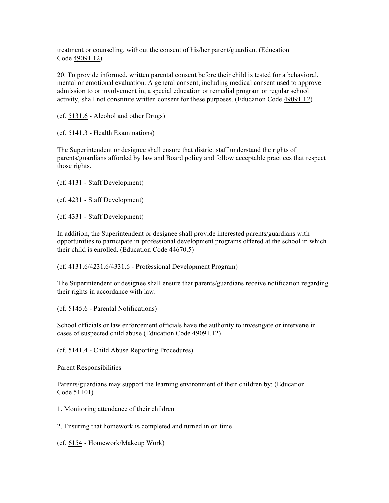treatment or counseling, without the consent of his/her parent/guardian. (Education Code 49091.12)

20. To provide informed, written parental consent before their child is tested for a behavioral, mental or emotional evaluation. A general consent, including medical consent used to approve admission to or involvement in, a special education or remedial program or regular school activity, shall not constitute written consent for these purposes. (Education Code 49091.12)

(cf. 5131.6 - Alcohol and other Drugs)

(cf. 5141.3 - Health Examinations)

The Superintendent or designee shall ensure that district staff understand the rights of parents/guardians afforded by law and Board policy and follow acceptable practices that respect those rights.

(cf. 4131 - Staff Development)

(cf. 4231 - Staff Development)

(cf. 4331 - Staff Development)

In addition, the Superintendent or designee shall provide interested parents/guardians with opportunities to participate in professional development programs offered at the school in which their child is enrolled. (Education Code 44670.5)

(cf. 4131.6/4231.6/4331.6 - Professional Development Program)

The Superintendent or designee shall ensure that parents/guardians receive notification regarding their rights in accordance with law.

(cf. 5145.6 - Parental Notifications)

School officials or law enforcement officials have the authority to investigate or intervene in cases of suspected child abuse (Education Code 49091.12)

(cf. 5141.4 - Child Abuse Reporting Procedures)

Parent Responsibilities

Parents/guardians may support the learning environment of their children by: (Education Code 51101)

1. Monitoring attendance of their children

2. Ensuring that homework is completed and turned in on time

(cf. 6154 - Homework/Makeup Work)